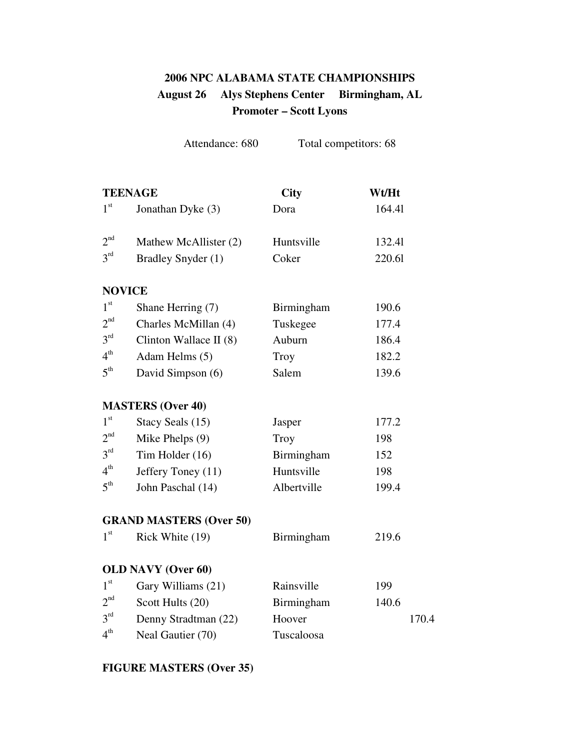# **2006 NPC ALABAMA STATE CHAMPIONSHIPS August 26 Alys Stephens Center Birmingham, AL Promoter – Scott Lyons**

|                 | Attendance: 680                | Total competitors: 68 |        |
|-----------------|--------------------------------|-----------------------|--------|
|                 | <b>TEENAGE</b>                 | <b>City</b>           | Wt/Ht  |
| 1 <sup>st</sup> | Jonathan Dyke (3)              | Dora                  | 164.41 |
| 2 <sup>nd</sup> | Mathew McAllister (2)          | Huntsville            | 132.41 |
| $3^{rd}$        | Bradley Snyder (1)             | Coker                 | 220.61 |
|                 | <b>NOVICE</b>                  |                       |        |
| 1 <sup>st</sup> | Shane Herring (7)              | Birmingham            | 190.6  |
| 2 <sup>nd</sup> | Charles McMillan (4)           | Tuskegee              | 177.4  |
| $3^{rd}$        | Clinton Wallace II $(8)$       | Auburn                | 186.4  |
| $4^{\text{th}}$ | Adam Helms (5)                 | <b>Troy</b>           | 182.2  |
| $5^{\text{th}}$ | David Simpson (6)              | Salem                 | 139.6  |
|                 | <b>MASTERS (Over 40)</b>       |                       |        |
| 1 <sup>st</sup> | Stacy Seals (15)               | Jasper                | 177.2  |
| 2 <sup>nd</sup> | Mike Phelps (9)                | Troy                  | 198    |
| 3 <sup>rd</sup> | Tim Holder (16)                | Birmingham            | 152    |
| $4^{\text{th}}$ | Jeffery Toney (11)             | Huntsville            | 198    |
| $5^{\text{th}}$ | John Paschal (14)              | Albertville           | 199.4  |
|                 | <b>GRAND MASTERS (Over 50)</b> |                       |        |
| 1 <sup>st</sup> | Rick White (19)                | Birmingham            | 219.6  |
|                 | <b>OLD NAVY (Over 60)</b>      |                       |        |
| 1 <sup>st</sup> | Gary Williams (21)             | Rainsville            | 199    |
| 2 <sup>nd</sup> | Scott Hults (20)               | Birmingham            | 140.6  |
| $3^{rd}$        | Denny Stradtman (22)           | Hoover                | 170.4  |
| $4^{\text{th}}$ | Neal Gautier (70)              | Tuscaloosa            |        |

## **FIGURE MASTERS (Over 35)**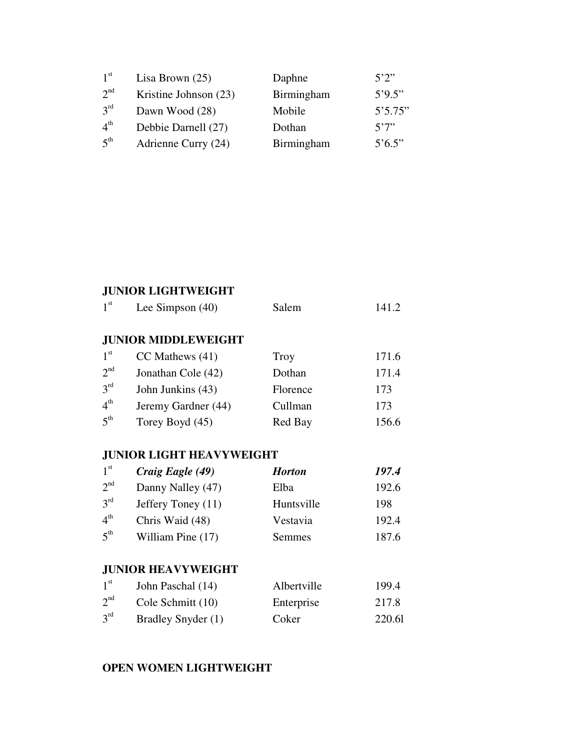| 1 <sup>st</sup> | Lisa Brown $(25)$     | Daphne     | 5'2''                  |
|-----------------|-----------------------|------------|------------------------|
| $2^{nd}$        | Kristine Johnson (23) | Birmingham | 5'9.5"                 |
| 3 <sup>rd</sup> | Dawn Wood (28)        | Mobile     | 5'5.75"                |
| 4 <sup>th</sup> | Debbie Darnell (27)   | Dothan     | 5'7''                  |
| 5 <sup>th</sup> | Adrienne Curry (24)   | Birmingham | $5^{\circ}6.5^{\circ}$ |

### **JUNIOR LIGHTWEIGHT**

| 1 <sup>st</sup> | Lee Simpson $(40)$         | Salem       | 141.2 |
|-----------------|----------------------------|-------------|-------|
|                 | <b>JUNIOR MIDDLEWEIGHT</b> |             |       |
| 1 <sup>st</sup> | $CC$ Mathews $(41)$        | <b>Troy</b> | 171.6 |
| 2 <sup>nd</sup> | Jonathan Cole (42)         | Dothan      | 171.4 |
| $3^{rd}$        | John Junkins (43)          | Florence    | 173   |
| 4 <sup>th</sup> | Jeremy Gardner (44)        | Cullman     | 173   |
| 5 <sup>th</sup> | Torey Boyd (45)            | Red Bay     | 156.6 |

## **JUNIOR LIGHT HEAVYWEIGHT**

| 1 <sup>st</sup> | Craig Eagle (49)   | <b>Horton</b> | 197.4 |
|-----------------|--------------------|---------------|-------|
| 2 <sup>nd</sup> | Danny Nalley (47)  | Elba          | 192.6 |
| 3 <sup>rd</sup> | Jeffery Toney (11) | Huntsville    | 198   |
| 4 <sup>th</sup> | Chris Waid (48)    | Vestavia      | 192.4 |
| 5 <sup>th</sup> | William Pine (17)  | <b>Semmes</b> | 187.6 |

## **JUNIOR HEAVYWEIGHT**

| 1 <sup>st</sup> | John Paschal (14)  | Albertville | 199.4  |
|-----------------|--------------------|-------------|--------|
| 2 <sup>nd</sup> | Cole Schmitt (10)  | Enterprise  | 217.8  |
| 3 <sup>rd</sup> | Bradley Snyder (1) | Coker       | 220.61 |

#### **OPEN WOMEN LIGHTWEIGHT**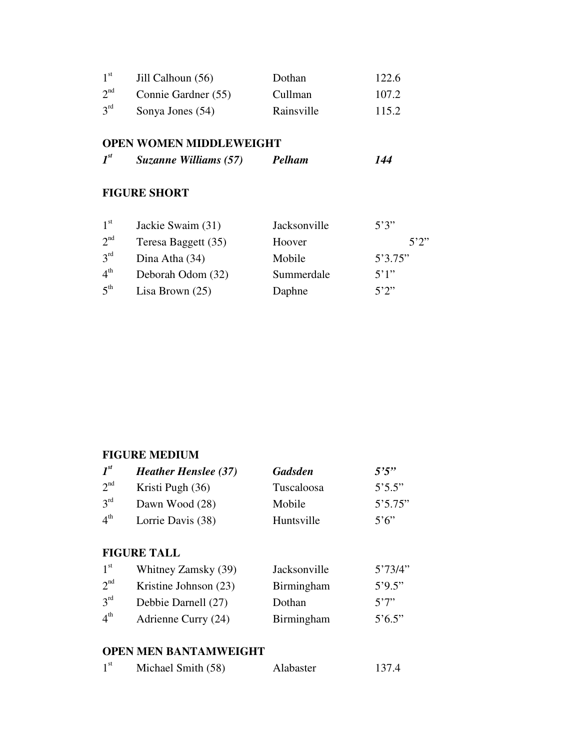| 1 <sup>st</sup> | Jill Calhoun (56)   | Dothan     | 122.6 |
|-----------------|---------------------|------------|-------|
| $2^{nd}$        | Connie Gardner (55) | Cullman    | 107.2 |
| 3 <sup>rd</sup> | Sonya Jones (54)    | Rainsville | 115.2 |

#### **OPEN WOMEN MIDDLEWEIGHT**

|  | $\mathbf{I}^{st}$ | Suzanne Williams (57) | <b>Pelham</b> | 144 |
|--|-------------------|-----------------------|---------------|-----|
|--|-------------------|-----------------------|---------------|-----|

#### **FIGURE SHORT**

| 1 <sup>st</sup> | Jackie Swaim (31)   | Jacksonville | 5'3''   |
|-----------------|---------------------|--------------|---------|
| 2 <sup>nd</sup> | Teresa Baggett (35) | Hoover       | 5'2''   |
| 3 <sup>rd</sup> | Dina Atha (34)      | Mobile       | 5'3.75" |
| 4 <sup>th</sup> | Deborah Odom (32)   | Summerdale   | 5'1''   |
| 5 <sup>th</sup> | Lisa Brown $(25)$   | Daphne       | 5'2''   |

## **FIGURE MEDIUM**

| $I^{st}$        | <b>Heather Henslee (37)</b> | <b>Gadsden</b> | 5'5''   |
|-----------------|-----------------------------|----------------|---------|
| 2 <sup>nd</sup> | Kristi Pugh (36)            | Tuscaloosa     | 5'5.5"  |
| 3 <sup>rd</sup> | Dawn Wood (28)              | Mobile         | 5'5.75" |
| 4 <sup>th</sup> | Lorrie Davis (38)           | Huntsville     | 5'6''   |

#### **FIGURE TALL**

| 1 <sup>st</sup> | Whitney Zamsky (39)   | Jacksonville | 5'73/4"                |
|-----------------|-----------------------|--------------|------------------------|
| $2^{nd}$        | Kristine Johnson (23) | Birmingham   | 5'9.5"                 |
| 3 <sup>rd</sup> | Debbie Darnell (27)   | Dothan       | 5'7''                  |
| 4 <sup>th</sup> | Adrienne Curry (24)   | Birmingham   | $5^{\circ}6.5^{\circ}$ |

#### **OPEN MEN BANTAMWEIGHT**

| 1 <sup>st</sup> | Michael Smith (58) | Alabaster | 137.4 |
|-----------------|--------------------|-----------|-------|
|-----------------|--------------------|-----------|-------|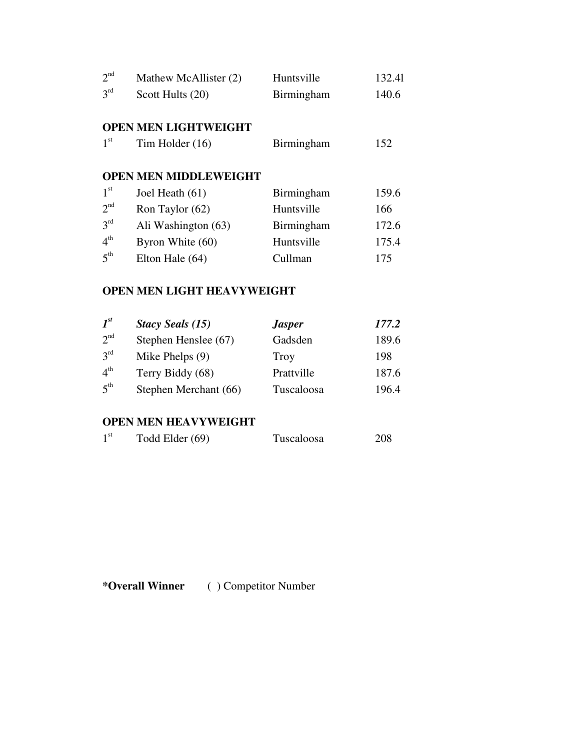| 2 <sup>nd</sup> | Mathew McAllister (2)        | Huntsville | 132.41 |
|-----------------|------------------------------|------------|--------|
| 3 <sup>rd</sup> | Scott Hults (20)             | Birmingham | 140.6  |
|                 |                              |            |        |
|                 | <b>OPEN MEN LIGHTWEIGHT</b>  |            |        |
| 1 <sup>st</sup> | Tim Holder $(16)$            | Birmingham | 152    |
|                 |                              |            |        |
|                 | <b>OPEN MEN MIDDLEWEIGHT</b> |            |        |
| 1 <sup>st</sup> | Joel Heath (61)              | Birmingham | 159.6  |
| $2^{nd}$        | Ron Taylor (62)              | Huntsville | 166    |
| 3 <sup>rd</sup> | Ali Washington (63)          | Birmingham | 172.6  |
| 4 <sup>th</sup> | Byron White (60)             | Huntsville | 175.4  |
| 5 <sup>th</sup> | Elton Hale (64)              | Cullman    | 175    |

#### **OPEN MEN LIGHT HEAVYWEIGHT**

| $I^{st}$        | <b>Stacy Seals (15)</b> | <b>Jasper</b> | 177.2 |
|-----------------|-------------------------|---------------|-------|
| 2 <sup>nd</sup> | Stephen Henslee (67)    | Gadsden       | 189.6 |
| $3^{\text{rd}}$ | Mike Phelps $(9)$       | Troy          | 198   |
| $4^{\text{th}}$ | Terry Biddy (68)        | Prattville    | 187.6 |
| $5^{\text{th}}$ | Stephen Merchant (66)   | Tuscaloosa    | 196.4 |

# **OPEN MEN HEAVYWEIGHT**

| 1 <sup>st</sup> | Todd Elder (69) | Tuscaloosa | 208 |
|-----------------|-----------------|------------|-----|
|-----------------|-----------------|------------|-----|

**\*Overall Winner** ( ) Competitor Number